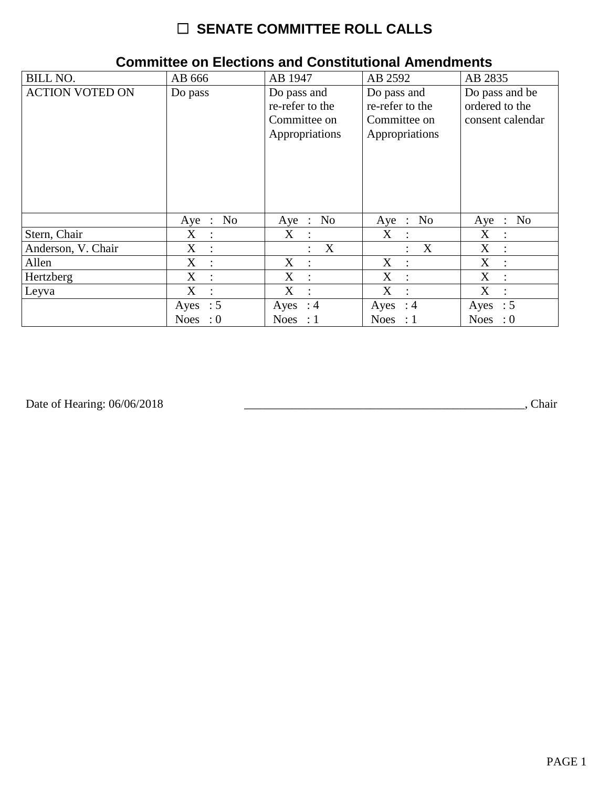## ☐ **SENATE COMMITTEE ROLL CALLS**

| <b>BILL NO.</b>        | AB 666                              | AB 1947                                                          | AB 2592                                                          | AB 2835                                              |
|------------------------|-------------------------------------|------------------------------------------------------------------|------------------------------------------------------------------|------------------------------------------------------|
| <b>ACTION VOTED ON</b> | Do pass                             | Do pass and<br>re-refer to the<br>Committee on<br>Appropriations | Do pass and<br>re-refer to the<br>Committee on<br>Appropriations | Do pass and be<br>ordered to the<br>consent calendar |
|                        | No<br>Aye :                         | No<br>$Aye$ :                                                    | No<br>Aye :                                                      | N <sub>0</sub><br>Aye<br>$\therefore$                |
| Stern, Chair           | $X_{\mathcal{C}}$<br>$\ddot{\cdot}$ | $X_{\mathcal{C}}$<br>$\sim$ 1                                    | X<br>$\cdot$ :                                                   | X<br>$\ddot{\cdot}$                                  |
| Anderson, V. Chair     | X<br>$\ddot{\cdot}$                 | $\boldsymbol{X}$<br>÷                                            | X                                                                | X<br>$\ddot{\phantom{a}}$                            |
| Allen                  | X<br>$\ddot{\cdot}$                 | X<br>$\ddot{\phantom{a}}$                                        | X<br>$\cdot$ .                                                   | X<br>$\ddot{\cdot}$                                  |
| Hertzberg              | X<br>$\ddot{\cdot}$                 | X<br>$\dot{\mathbb{I}}$                                          | X<br>$\cdot$ .                                                   | X<br>$\ddot{\cdot}$                                  |
| Leyva                  | X<br>$\ddot{\cdot}$                 | X<br>$\ddot{\cdot}$                                              | X                                                                | X<br>$\ddot{\cdot}$                                  |
|                        | Ayes : $5$                          | Ayes : $4$                                                       | Ayes : $4$                                                       | Ayes : $5$                                           |
|                        | <b>Noes</b><br>$\colon 0$           | Noes : $1$                                                       | Noes : $1$                                                       | <b>Noes</b><br>$\therefore 0$                        |

## **Committee on Elections and Constitutional Amendments**

Date of Hearing: 06/06/2018

Date of Hearing: 06/06/2018 \_\_\_\_\_\_\_\_\_\_\_\_\_\_\_\_\_\_\_\_\_\_\_\_\_\_\_\_\_\_\_\_\_\_\_\_\_\_\_\_\_\_\_\_\_\_\_, Chair